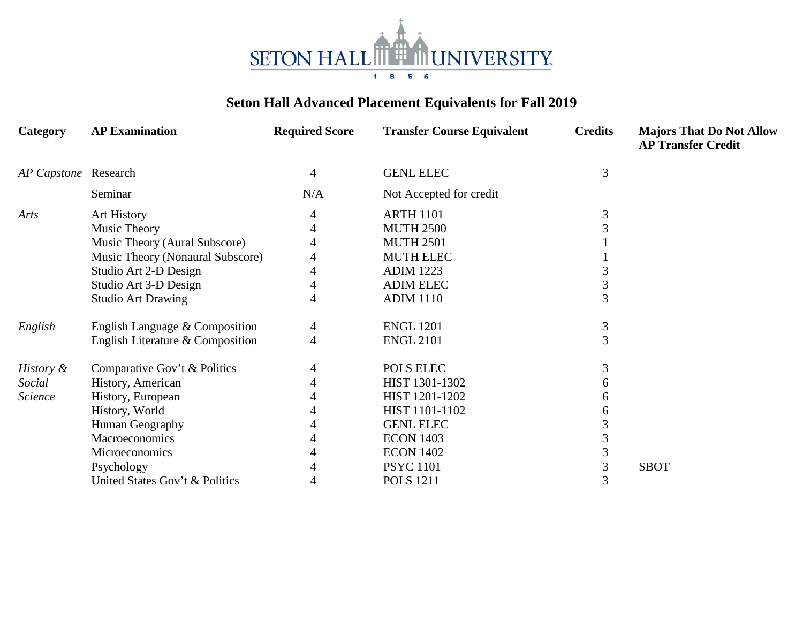

## **Seton Hall Advanced Placement Equivalents for Fall 2019**

| Category             | <b>AP Examination</b>            | <b>Required Score</b> | <b>Transfer Course Equivalent</b> | <b>Credits</b> | <b>Majors That Do Not Allow</b><br><b>AP Transfer Credit</b> |
|----------------------|----------------------------------|-----------------------|-----------------------------------|----------------|--------------------------------------------------------------|
| AP Capstone Research |                                  | 4                     | <b>GENL ELEC</b>                  | 3              |                                                              |
|                      | Seminar                          | N/A                   | Not Accepted for credit           |                |                                                              |
| Arts                 | Art History                      |                       | <b>ARTH 1101</b>                  | 3              |                                                              |
|                      | Music Theory                     |                       | <b>MUTH 2500</b>                  |                |                                                              |
|                      | Music Theory (Aural Subscore)    |                       | <b>MUTH 2501</b>                  |                |                                                              |
|                      | Music Theory (Nonaural Subscore) |                       | <b>MUTH ELEC</b>                  |                |                                                              |
|                      | Studio Art 2-D Design            |                       | <b>ADIM 1223</b>                  |                |                                                              |
|                      | Studio Art 3-D Design            |                       | <b>ADIM ELEC</b>                  | 3              |                                                              |
|                      | <b>Studio Art Drawing</b>        |                       | <b>ADIM 1110</b>                  | 3              |                                                              |
| English              | English Language & Composition   | 4                     | <b>ENGL 1201</b>                  | 3              |                                                              |
|                      | English Literature & Composition | 4                     | <b>ENGL 2101</b>                  | $\overline{3}$ |                                                              |
| History &            | Comparative Gov't & Politics     |                       | POLS ELEC                         | 3              |                                                              |
| Social               | History, American                |                       | HIST 1301-1302                    | 6              |                                                              |
| Science              | History, European                |                       | HIST 1201-1202                    |                |                                                              |
|                      | History, World                   |                       | HIST 1101-1102                    |                |                                                              |
|                      | Human Geography                  |                       | <b>GENL ELEC</b>                  |                |                                                              |
|                      | Macroeconomics                   |                       | <b>ECON 1403</b>                  |                |                                                              |
|                      | Microeconomics                   |                       | <b>ECON 1402</b>                  |                |                                                              |
|                      | Psychology                       |                       | <b>PSYC</b> 1101                  | 3              | <b>SBOT</b>                                                  |
|                      | United States Gov't & Politics   |                       | <b>POLS</b> 1211                  | 3              |                                                              |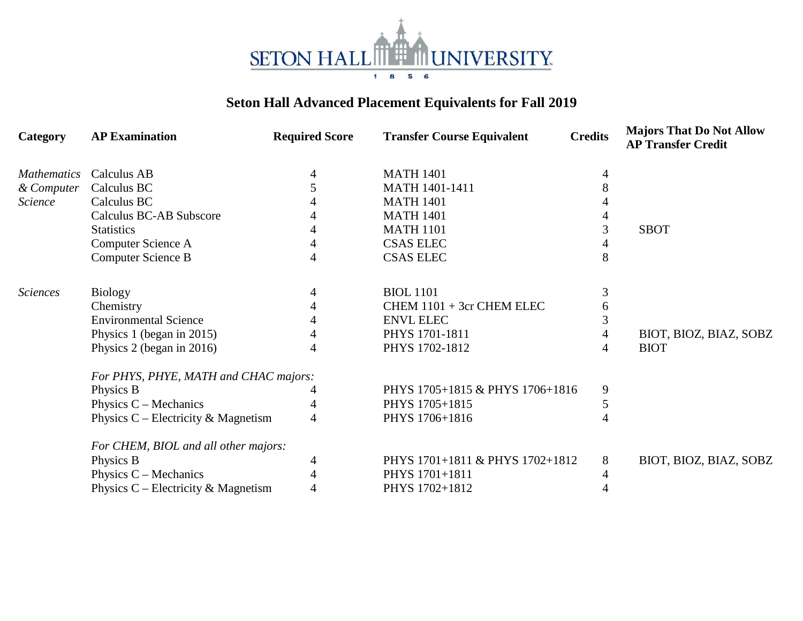

## **Seton Hall Advanced Placement Equivalents for Fall 2019**

| Category           | <b>AP Examination</b>                 | <b>Required Score</b> | <b>Transfer Course Equivalent</b> | <b>Credits</b> | <b>Majors That Do Not Allow</b><br><b>AP Transfer Credit</b> |  |
|--------------------|---------------------------------------|-----------------------|-----------------------------------|----------------|--------------------------------------------------------------|--|
| <i>Mathematics</i> | Calculus AB                           |                       | <b>MATH 1401</b>                  |                |                                                              |  |
| & Computer         | Calculus BC                           |                       | <b>MATH 1401-1411</b>             |                |                                                              |  |
| Science            | Calculus BC                           |                       | <b>MATH 1401</b>                  |                |                                                              |  |
|                    | Calculus BC-AB Subscore               |                       | <b>MATH 1401</b>                  |                |                                                              |  |
|                    | <b>Statistics</b>                     |                       | <b>MATH 1101</b>                  | 3              | <b>SBOT</b>                                                  |  |
|                    | Computer Science A                    |                       | <b>CSAS ELEC</b>                  |                |                                                              |  |
|                    | Computer Science B                    | 4                     | <b>CSAS ELEC</b>                  | 8              |                                                              |  |
| <b>Sciences</b>    | <b>Biology</b>                        | 4                     | <b>BIOL</b> 1101                  | 3              |                                                              |  |
|                    | Chemistry                             |                       | CHEM 1101 + 3cr CHEM ELEC         | 6              |                                                              |  |
|                    | <b>Environmental Science</b>          |                       | <b>ENVL ELEC</b>                  | 3              |                                                              |  |
|                    | Physics 1 (began in 2015)             |                       | PHYS 1701-1811                    | 4              | BIOT, BIOZ, BIAZ, SOBZ                                       |  |
|                    | Physics 2 (began in 2016)             | 4                     | PHYS 1702-1812                    | 4              | <b>BIOT</b>                                                  |  |
|                    | For PHYS, PHYE, MATH and CHAC majors: |                       |                                   |                |                                                              |  |
|                    | Physics B                             |                       | PHYS 1705+1815 & PHYS 1706+1816   | 9              |                                                              |  |
|                    | Physics $C$ – Mechanics               |                       | PHYS 1705+1815                    | 5              |                                                              |  |
|                    | Physics $C$ – Electricity & Magnetism | 4                     | PHYS 1706+1816                    | 4              |                                                              |  |
|                    | For CHEM, BIOL and all other majors:  |                       |                                   |                |                                                              |  |
|                    | Physics B                             | 4                     | PHYS 1701+1811 & PHYS 1702+1812   | 8              | BIOT, BIOZ, BIAZ, SOBZ                                       |  |
|                    | Physics $C - \text{Mechanics}$        |                       | PHYS 1701+1811                    | 4              |                                                              |  |
|                    | Physics $C$ – Electricity & Magnetism | 4                     | PHYS 1702+1812                    | 4              |                                                              |  |